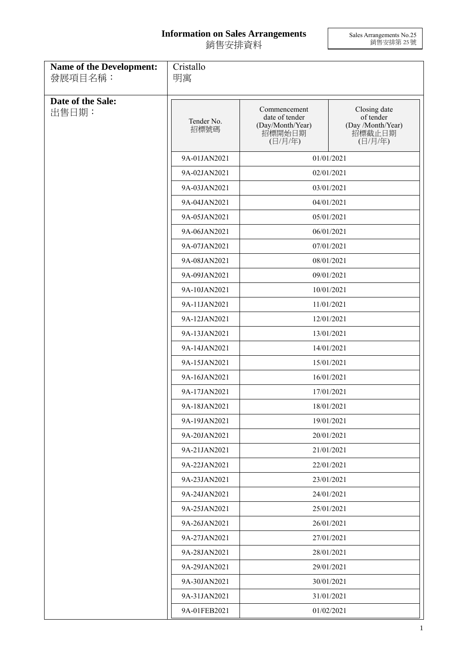## **Information on Sales Arrangements** 銷售安排資料

Sales Arrangements No.25 銷售安排第 25 號

| <b>Name of the Development:</b><br>發展項目名稱: | Cristallo<br>明寓    |                                                                         |                                                                     |
|--------------------------------------------|--------------------|-------------------------------------------------------------------------|---------------------------------------------------------------------|
| Date of the Sale:<br>出售日期:                 | Tender No.<br>招標號碼 | Commencement<br>date of tender<br>(Day/Month/Year)<br>招標開始日期<br>(日/月/年) | Closing date<br>of tender<br>(Day /Month/Year)<br>招標截止日期<br>(日/月/年) |
|                                            | 9A-01JAN2021       |                                                                         | 01/01/2021                                                          |
|                                            | 9A-02JAN2021       |                                                                         | 02/01/2021                                                          |
|                                            | 9A-03JAN2021       |                                                                         | 03/01/2021                                                          |
|                                            | 9A-04JAN2021       |                                                                         | 04/01/2021                                                          |
|                                            | 9A-05JAN2021       |                                                                         | 05/01/2021                                                          |
|                                            | 9A-06JAN2021       |                                                                         | 06/01/2021                                                          |
|                                            | 9A-07JAN2021       |                                                                         | 07/01/2021                                                          |
|                                            | 9A-08JAN2021       |                                                                         | 08/01/2021                                                          |
|                                            | 9A-09JAN2021       |                                                                         | 09/01/2021                                                          |
|                                            | 9A-10JAN2021       |                                                                         | 10/01/2021                                                          |
|                                            | 9A-11JAN2021       |                                                                         | 11/01/2021                                                          |
|                                            | 9A-12JAN2021       |                                                                         | 12/01/2021                                                          |
|                                            | 9A-13JAN2021       |                                                                         | 13/01/2021                                                          |
|                                            | 9A-14JAN2021       |                                                                         | 14/01/2021                                                          |
|                                            | 9A-15JAN2021       |                                                                         | 15/01/2021                                                          |
|                                            | 9A-16JAN2021       |                                                                         | 16/01/2021                                                          |
|                                            | 9A-17JAN2021       |                                                                         | 17/01/2021                                                          |
|                                            | 9A-18JAN2021       |                                                                         | 18/01/2021                                                          |
|                                            | 9A-19JAN2021       |                                                                         | 19/01/2021                                                          |
|                                            | 9A-20JAN2021       |                                                                         | 20/01/2021                                                          |
|                                            | 9A-21JAN2021       |                                                                         | 21/01/2021                                                          |
|                                            | 9A-22JAN2021       |                                                                         | 22/01/2021                                                          |
|                                            | 9A-23JAN2021       |                                                                         | 23/01/2021                                                          |
|                                            | 9A-24JAN2021       |                                                                         | 24/01/2021                                                          |
|                                            | 9A-25JAN2021       |                                                                         | 25/01/2021                                                          |
|                                            | 9A-26JAN2021       |                                                                         | 26/01/2021                                                          |
|                                            | 9A-27JAN2021       |                                                                         | 27/01/2021                                                          |
|                                            | 9A-28JAN2021       |                                                                         | 28/01/2021                                                          |
|                                            | 9A-29JAN2021       |                                                                         | 29/01/2021                                                          |
|                                            | 9A-30JAN2021       |                                                                         | 30/01/2021                                                          |
|                                            | 9A-31JAN2021       |                                                                         | 31/01/2021                                                          |
|                                            | 9A-01FEB2021       |                                                                         | 01/02/2021                                                          |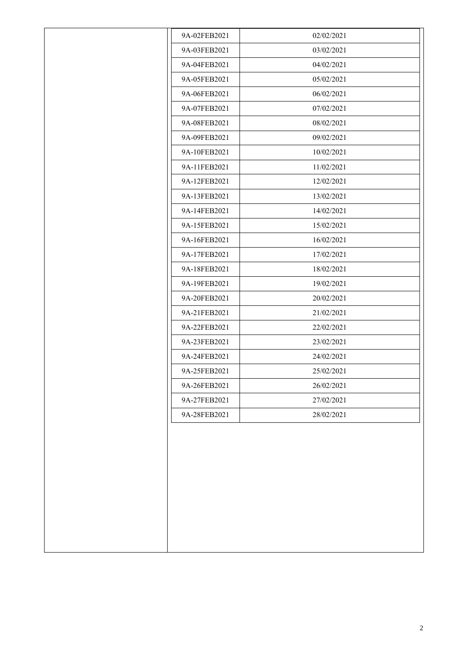| 9A-02FEB2021 | 02/02/2021 |
|--------------|------------|
| 9A-03FEB2021 | 03/02/2021 |
| 9A-04FEB2021 | 04/02/2021 |
| 9A-05FEB2021 | 05/02/2021 |
| 9A-06FEB2021 | 06/02/2021 |
| 9A-07FEB2021 | 07/02/2021 |
| 9A-08FEB2021 | 08/02/2021 |
| 9A-09FEB2021 | 09/02/2021 |
| 9A-10FEB2021 | 10/02/2021 |
| 9A-11FEB2021 | 11/02/2021 |
| 9A-12FEB2021 | 12/02/2021 |
| 9A-13FEB2021 | 13/02/2021 |
| 9A-14FEB2021 | 14/02/2021 |
| 9A-15FEB2021 | 15/02/2021 |
| 9A-16FEB2021 | 16/02/2021 |
| 9A-17FEB2021 | 17/02/2021 |
| 9A-18FEB2021 | 18/02/2021 |
| 9A-19FEB2021 | 19/02/2021 |
| 9A-20FEB2021 | 20/02/2021 |
| 9A-21FEB2021 | 21/02/2021 |
| 9A-22FEB2021 | 22/02/2021 |
| 9A-23FEB2021 | 23/02/2021 |
| 9A-24FEB2021 | 24/02/2021 |
| 9A-25FEB2021 | 25/02/2021 |
| 9A-26FEB2021 | 26/02/2021 |
| 9A-27FEB2021 | 27/02/2021 |
| 9A-28FEB2021 | 28/02/2021 |
|              |            |
|              |            |
|              |            |
|              |            |
|              |            |
|              |            |
|              |            |
|              |            |
|              |            |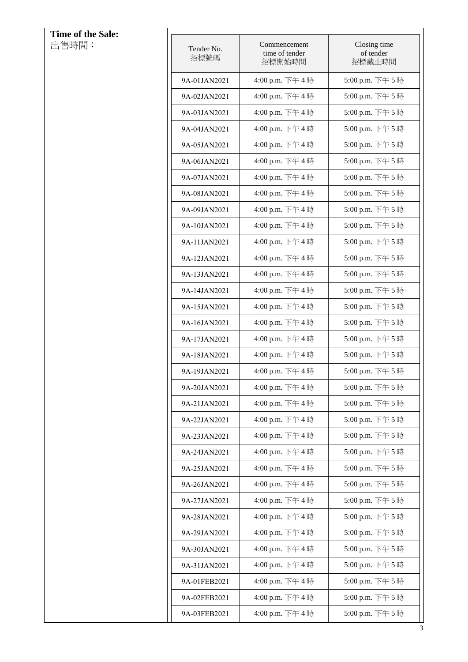| Time of the Sale: |                    |                                          |                                     |
|-------------------|--------------------|------------------------------------------|-------------------------------------|
| 出售時間:             | Tender No.<br>招標號碼 | Commencement<br>time of tender<br>招標開始時間 | Closing time<br>of tender<br>招標截止時間 |
|                   | 9A-01JAN2021       | 4:00 p.m. 下午4時                           | 5:00 p.m. 下午5時                      |
|                   | 9A-02JAN2021       | 4:00 p.m. 下午4時                           | 5:00 p.m. 下午5時                      |
|                   | 9A-03JAN2021       | 4:00 p.m. 下午4時                           | 5:00 p.m. 下午5時                      |
|                   | 9A-04JAN2021       | 4:00 p.m. 下午4時                           | 5:00 p.m. 下午5時                      |
|                   | 9A-05JAN2021       | 4:00 p.m. 下午4時                           | 5:00 p.m. 下午5時                      |
|                   | 9A-06JAN2021       | 4:00 p.m. 下午4時                           | 5:00 p.m. 下午5時                      |
|                   | 9A-07JAN2021       | 4:00 p.m. 下午4時                           | 5:00 p.m. 下午5時                      |
|                   | 9A-08JAN2021       | 4:00 p.m. 下午4時                           | 5:00 p.m. 下午5時                      |
|                   | 9A-09JAN2021       | 4:00 p.m. 下午4時                           | 5:00 p.m. 下午5時                      |
|                   | 9A-10JAN2021       | 4:00 p.m. 下午4時                           | 5:00 p.m. 下午5時                      |
|                   | 9A-11JAN2021       | 4:00 p.m. 下午4時                           | 5:00 p.m. 下午5時                      |
|                   | 9A-12JAN2021       | 4:00 p.m. 下午4時                           | 5:00 p.m. 下午5時                      |
|                   | 9A-13JAN2021       | 4:00 p.m. 下午4時                           | 5:00 p.m. 下午5時                      |
|                   | 9A-14JAN2021       | 4:00 p.m. 下午4時                           | 5:00 p.m. 下午5時                      |
|                   | 9A-15JAN2021       | 4:00 p.m. 下午4時                           | 5:00 p.m. 下午5時                      |
|                   | 9A-16JAN2021       | 4:00 p.m. 下午4時                           | 5:00 p.m. 下午5時                      |
|                   | 9A-17JAN2021       | 4:00 p.m. 下午4時                           | 5:00 p.m. 下午5時                      |
|                   | 9A-18JAN2021       | 4:00 p.m. 下午4時                           | 5:00 p.m. 下午5時                      |
|                   | 9A-19JAN2021       | 4:00 p.m. 下午4時                           | 5:00 p.m. 下午5時                      |
|                   | 9A-20JAN2021       | 4:00 p.m. 下午4時                           | 5:00 p.m. 下午5時                      |
|                   | 9A-21JAN2021       | 4:00 p.m. 下午4時                           | 5:00 p.m. 下午5時                      |
|                   | 9A-22JAN2021       | 4:00 p.m. 下午4時                           | 5:00 p.m. 下午5時                      |
|                   | 9A-23JAN2021       | 4:00 p.m. 下午4時                           | 5:00 p.m. 下午5時                      |
|                   | 9A-24JAN2021       | 4:00 p.m. 下午4時                           | 5:00 p.m. 下午5時                      |
|                   | 9A-25JAN2021       | 4:00 p.m. 下午4時                           | 5:00 p.m. 下午5時                      |
|                   | 9A-26JAN2021       | 4:00 p.m. 下午4時                           | 5:00 p.m. 下午5時                      |
|                   | 9A-27JAN2021       | 4:00 p.m. 下午4時                           | 5:00 p.m. 下午5時                      |
|                   | 9A-28JAN2021       | 4:00 p.m. 下午4時                           | 5:00 p.m. 下午5時                      |
|                   | 9A-29JAN2021       | 4:00 p.m. 下午4時                           | 5:00 p.m. 下午5時                      |
|                   | 9A-30JAN2021       | 4:00 p.m. 下午4時                           | 5:00 p.m. 下午5時                      |
|                   | 9A-31JAN2021       | 4:00 p.m. 下午4時                           | 5:00 p.m. 下午5時                      |
|                   | 9A-01FEB2021       | 4:00 p.m. 下午4時                           | 5:00 p.m. 下午5時                      |
|                   | 9A-02FEB2021       | 4:00 p.m. 下午4時                           | 5:00 p.m. 下午5時                      |
|                   | 9A-03FEB2021       | 4:00 p.m. 下午4時                           | 5:00 p.m. 下午5時                      |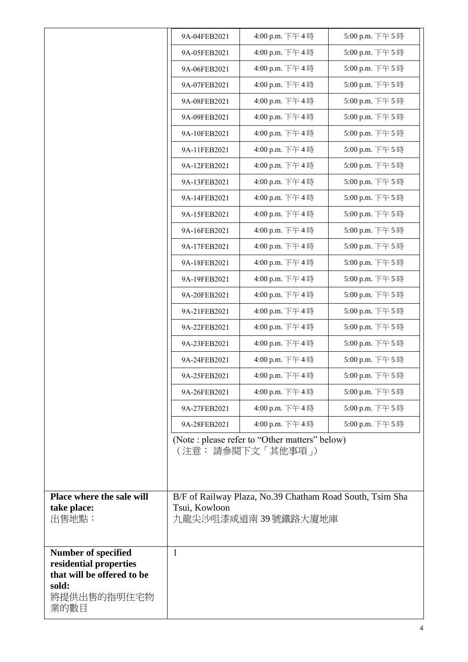| 4:00 p.m. 下午4時<br>5:00 p.m. 下午5時<br>9A-05FEB2021<br>4:00 p.m. 下午4時<br>5:00 p.m. 下午5時<br>9A-06FEB2021<br>4:00 p.m. 下午4時<br>5:00 p.m. 下午5時<br>9A-07FEB2021<br>4:00 p.m. 下午4時<br>5:00 p.m. 下午5時<br>9A-08FEB2021<br>4:00 p.m. 下午4時<br>5:00 p.m. 下午5時<br>9A-09FEB2021<br>4:00 p.m. 下午4時<br>5:00 p.m. 下午5時<br>9A-10FEB2021<br>4:00 p.m. 下午4時<br>5:00 p.m. 下午5時<br>9A-11FEB2021<br>4:00 p.m. 下午4時<br>5:00 p.m. 下午5時<br>9A-12FEB2021<br>4:00 p.m. 下午4時<br>5:00 p.m. 下午5時<br>9A-13FEB2021<br>4:00 p.m. 下午4時<br>5:00 p.m. 下午5時<br>9A-14FEB2021<br>4:00 p.m. 下午4時<br>5:00 p.m. 下午5時<br>9A-15FEB2021<br>4:00 p.m. 下午4時<br>5:00 p.m. 下午5時<br>9A-16FEB2021<br>4:00 p.m. 下午4時<br>5:00 p.m. 下午5時<br>9A-17FEB2021<br>4:00 p.m. 下午4時<br>5:00 p.m. 下午5時<br>9A-18FEB2021<br>5:00 p.m. 下午5時<br>4:00 p.m. 下午4時<br>9A-19FEB2021<br>4:00 p.m. 下午4時<br>5:00 p.m. 下午5時<br>9A-20FEB2021<br>4:00 p.m. 下午4時<br>5:00 p.m. 下午5時<br>9A-21FEB2021<br>4:00 p.m. 下午4時<br>5:00 p.m. 下午5時<br>9A-22FEB2021<br>4:00 p.m. 下午4時<br>5:00 p.m. 下午5時<br>9A-23FEB2021<br>5:00 p.m. 下午5時<br>4:00 p.m. 下午4時<br>9A-24FEB2021<br>4:00 p.m. 下午4時<br>5:00 p.m. 下午5時<br>9A-25FEB2021<br>4:00 p.m. 下午4時<br>5:00 p.m. 下午5時<br>9A-26FEB2021<br>4:00 p.m. 下午4時<br>5:00 p.m. 下午5時<br>9A-27FEB2021<br>4:00 p.m. 下午4時<br>5:00 p.m. 下午5時<br>9A-28FEB2021<br>(Note : please refer to "Other matters" below)<br>(注意: 請參閱下文「其他事項 」)<br>Place where the sale will<br>B/F of Railway Plaza, No.39 Chatham Road South, Tsim Sha<br>take place:<br>Tsui, Kowloon<br>出售地點:<br>九龍尖沙咀漆咸道南 39 號鐵路大廈地庫<br><b>Number of specified</b><br>$\mathbf{1}$<br>residential properties<br>that will be offered to be<br>sold:<br>將提供出售的指明住宅物<br>業的數目 | 9A-04FEB2021 | 4:00 p.m. 下午4時 | 5:00 p.m. 下午5時 |
|----------------------------------------------------------------------------------------------------------------------------------------------------------------------------------------------------------------------------------------------------------------------------------------------------------------------------------------------------------------------------------------------------------------------------------------------------------------------------------------------------------------------------------------------------------------------------------------------------------------------------------------------------------------------------------------------------------------------------------------------------------------------------------------------------------------------------------------------------------------------------------------------------------------------------------------------------------------------------------------------------------------------------------------------------------------------------------------------------------------------------------------------------------------------------------------------------------------------------------------------------------------------------------------------------------------------------------------------------------------------------------------------------------------------------------------------------------------------------------------------------------------------------------------------------------------------------------------------------------------------------------------------------------------------|--------------|----------------|----------------|
|                                                                                                                                                                                                                                                                                                                                                                                                                                                                                                                                                                                                                                                                                                                                                                                                                                                                                                                                                                                                                                                                                                                                                                                                                                                                                                                                                                                                                                                                                                                                                                                                                                                                      |              |                |                |
|                                                                                                                                                                                                                                                                                                                                                                                                                                                                                                                                                                                                                                                                                                                                                                                                                                                                                                                                                                                                                                                                                                                                                                                                                                                                                                                                                                                                                                                                                                                                                                                                                                                                      |              |                |                |
|                                                                                                                                                                                                                                                                                                                                                                                                                                                                                                                                                                                                                                                                                                                                                                                                                                                                                                                                                                                                                                                                                                                                                                                                                                                                                                                                                                                                                                                                                                                                                                                                                                                                      |              |                |                |
|                                                                                                                                                                                                                                                                                                                                                                                                                                                                                                                                                                                                                                                                                                                                                                                                                                                                                                                                                                                                                                                                                                                                                                                                                                                                                                                                                                                                                                                                                                                                                                                                                                                                      |              |                |                |
|                                                                                                                                                                                                                                                                                                                                                                                                                                                                                                                                                                                                                                                                                                                                                                                                                                                                                                                                                                                                                                                                                                                                                                                                                                                                                                                                                                                                                                                                                                                                                                                                                                                                      |              |                |                |
|                                                                                                                                                                                                                                                                                                                                                                                                                                                                                                                                                                                                                                                                                                                                                                                                                                                                                                                                                                                                                                                                                                                                                                                                                                                                                                                                                                                                                                                                                                                                                                                                                                                                      |              |                |                |
|                                                                                                                                                                                                                                                                                                                                                                                                                                                                                                                                                                                                                                                                                                                                                                                                                                                                                                                                                                                                                                                                                                                                                                                                                                                                                                                                                                                                                                                                                                                                                                                                                                                                      |              |                |                |
|                                                                                                                                                                                                                                                                                                                                                                                                                                                                                                                                                                                                                                                                                                                                                                                                                                                                                                                                                                                                                                                                                                                                                                                                                                                                                                                                                                                                                                                                                                                                                                                                                                                                      |              |                |                |
|                                                                                                                                                                                                                                                                                                                                                                                                                                                                                                                                                                                                                                                                                                                                                                                                                                                                                                                                                                                                                                                                                                                                                                                                                                                                                                                                                                                                                                                                                                                                                                                                                                                                      |              |                |                |
|                                                                                                                                                                                                                                                                                                                                                                                                                                                                                                                                                                                                                                                                                                                                                                                                                                                                                                                                                                                                                                                                                                                                                                                                                                                                                                                                                                                                                                                                                                                                                                                                                                                                      |              |                |                |
|                                                                                                                                                                                                                                                                                                                                                                                                                                                                                                                                                                                                                                                                                                                                                                                                                                                                                                                                                                                                                                                                                                                                                                                                                                                                                                                                                                                                                                                                                                                                                                                                                                                                      |              |                |                |
|                                                                                                                                                                                                                                                                                                                                                                                                                                                                                                                                                                                                                                                                                                                                                                                                                                                                                                                                                                                                                                                                                                                                                                                                                                                                                                                                                                                                                                                                                                                                                                                                                                                                      |              |                |                |
|                                                                                                                                                                                                                                                                                                                                                                                                                                                                                                                                                                                                                                                                                                                                                                                                                                                                                                                                                                                                                                                                                                                                                                                                                                                                                                                                                                                                                                                                                                                                                                                                                                                                      |              |                |                |
|                                                                                                                                                                                                                                                                                                                                                                                                                                                                                                                                                                                                                                                                                                                                                                                                                                                                                                                                                                                                                                                                                                                                                                                                                                                                                                                                                                                                                                                                                                                                                                                                                                                                      |              |                |                |
|                                                                                                                                                                                                                                                                                                                                                                                                                                                                                                                                                                                                                                                                                                                                                                                                                                                                                                                                                                                                                                                                                                                                                                                                                                                                                                                                                                                                                                                                                                                                                                                                                                                                      |              |                |                |
|                                                                                                                                                                                                                                                                                                                                                                                                                                                                                                                                                                                                                                                                                                                                                                                                                                                                                                                                                                                                                                                                                                                                                                                                                                                                                                                                                                                                                                                                                                                                                                                                                                                                      |              |                |                |
|                                                                                                                                                                                                                                                                                                                                                                                                                                                                                                                                                                                                                                                                                                                                                                                                                                                                                                                                                                                                                                                                                                                                                                                                                                                                                                                                                                                                                                                                                                                                                                                                                                                                      |              |                |                |
|                                                                                                                                                                                                                                                                                                                                                                                                                                                                                                                                                                                                                                                                                                                                                                                                                                                                                                                                                                                                                                                                                                                                                                                                                                                                                                                                                                                                                                                                                                                                                                                                                                                                      |              |                |                |
|                                                                                                                                                                                                                                                                                                                                                                                                                                                                                                                                                                                                                                                                                                                                                                                                                                                                                                                                                                                                                                                                                                                                                                                                                                                                                                                                                                                                                                                                                                                                                                                                                                                                      |              |                |                |
|                                                                                                                                                                                                                                                                                                                                                                                                                                                                                                                                                                                                                                                                                                                                                                                                                                                                                                                                                                                                                                                                                                                                                                                                                                                                                                                                                                                                                                                                                                                                                                                                                                                                      |              |                |                |
|                                                                                                                                                                                                                                                                                                                                                                                                                                                                                                                                                                                                                                                                                                                                                                                                                                                                                                                                                                                                                                                                                                                                                                                                                                                                                                                                                                                                                                                                                                                                                                                                                                                                      |              |                |                |
|                                                                                                                                                                                                                                                                                                                                                                                                                                                                                                                                                                                                                                                                                                                                                                                                                                                                                                                                                                                                                                                                                                                                                                                                                                                                                                                                                                                                                                                                                                                                                                                                                                                                      |              |                |                |
|                                                                                                                                                                                                                                                                                                                                                                                                                                                                                                                                                                                                                                                                                                                                                                                                                                                                                                                                                                                                                                                                                                                                                                                                                                                                                                                                                                                                                                                                                                                                                                                                                                                                      |              |                |                |
|                                                                                                                                                                                                                                                                                                                                                                                                                                                                                                                                                                                                                                                                                                                                                                                                                                                                                                                                                                                                                                                                                                                                                                                                                                                                                                                                                                                                                                                                                                                                                                                                                                                                      |              |                |                |
|                                                                                                                                                                                                                                                                                                                                                                                                                                                                                                                                                                                                                                                                                                                                                                                                                                                                                                                                                                                                                                                                                                                                                                                                                                                                                                                                                                                                                                                                                                                                                                                                                                                                      |              |                |                |
|                                                                                                                                                                                                                                                                                                                                                                                                                                                                                                                                                                                                                                                                                                                                                                                                                                                                                                                                                                                                                                                                                                                                                                                                                                                                                                                                                                                                                                                                                                                                                                                                                                                                      |              |                |                |
|                                                                                                                                                                                                                                                                                                                                                                                                                                                                                                                                                                                                                                                                                                                                                                                                                                                                                                                                                                                                                                                                                                                                                                                                                                                                                                                                                                                                                                                                                                                                                                                                                                                                      |              |                |                |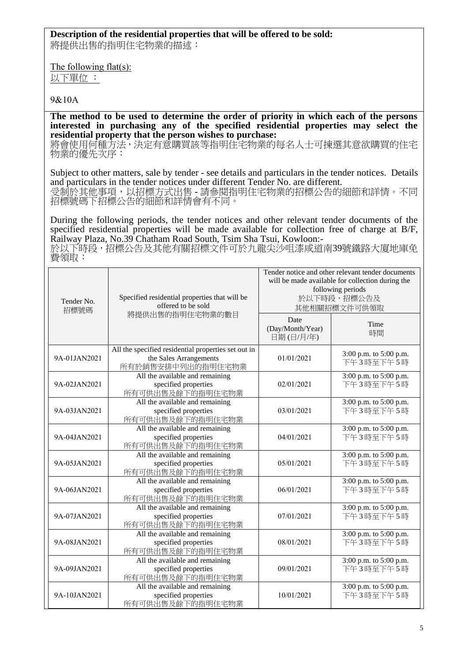## **Description of the residential properties that will be offered to be sold:**

將提供出售的指明住宅物業的描述:

The following flat(s):

以下單位 :

## 9&10A

**The method to be used to determine the order of priority in which each of the persons interested in purchasing any of the specified residential properties may select the residential property that the person wishes to purchase:** 

將會使用何種方法,決定有意購買該等指明住宅物業的每名人士可揀選其意欲購買的住宅 物業的優先次序:

Subject to other matters, sale by tender - see details and particulars in the tender notices. Details and particulars in the tender notices under different Tender No. are different.

受制於其他事項,以招標方式出售 - 請參閱指明住宅物業的招標公告的細節和詳情。不同 招標號碼下招標公告的細節和詳情會有不同。

During the following periods, the tender notices and other relevant tender documents of the specified residential properties will be made available for collection free of charge at B/F, Railway Plaza, No.39 Chatham Road South, Tsim Sha Tsui, Kowloon:-

於以下時段,招標公告及其他有關招標文件可於九龍尖沙咀漆咸道南39號鐵路大廈地庫免 費領取:

| Tender No.<br>招標號碼 | Specified residential properties that will be<br>offered to be sold                                |                                       | Tender notice and other relevant tender documents<br>will be made available for collection during the<br>following periods<br>於以下時段,招標公告及<br>其他相關招標文件可供領取 |
|--------------------|----------------------------------------------------------------------------------------------------|---------------------------------------|-----------------------------------------------------------------------------------------------------------------------------------------------------------|
|                    | 將提供出售的指明住宅物業的數目                                                                                    | Date<br>(Day/Month/Year)<br>日期(日/月/年) | Time<br>時間                                                                                                                                                |
| 9A-01JAN2021       | All the specified residential properties set out in<br>the Sales Arrangements<br>所有於銷售安排中列出的指明住宅物業 | 01/01/2021                            | 3:00 p.m. to 5:00 p.m.<br>下午3時至下午5時                                                                                                                       |
| 9A-02JAN2021       | All the available and remaining<br>specified properties<br>所有可供出售及餘下的指明住宅物業                        | 02/01/2021                            | 3:00 p.m. to 5:00 p.m.<br>下午3時至下午5時                                                                                                                       |
| 9A-03JAN2021       | All the available and remaining<br>specified properties<br>所有可供出售及餘下的指明住宅物業                        | 03/01/2021                            | 3:00 p.m. to 5:00 p.m.<br>下午3時至下午5時                                                                                                                       |
| 9A-04JAN2021       | All the available and remaining<br>specified properties<br>所有可供出售及餘下的指明住宅物業                        | 04/01/2021                            | $3:00$ p.m. to 5:00 p.m.<br>下午3時至下午5時                                                                                                                     |
| 9A-05JAN2021       | All the available and remaining<br>specified properties<br>所有可供出售及餘下的指明住宅物業                        | 05/01/2021                            | 3:00 p.m. to 5:00 p.m.<br>下午3時至下午5時                                                                                                                       |
| 9A-06JAN2021       | All the available and remaining<br>specified properties<br>所有可供出售及餘下的指明住宅物業                        | 06/01/2021                            | 3:00 p.m. to 5:00 p.m.<br>下午3時至下午5時                                                                                                                       |
| 9A-07JAN2021       | All the available and remaining<br>specified properties<br>所有可供出售及餘下的指明住宅物業                        | 07/01/2021                            | 3:00 p.m. to 5:00 p.m.<br>下午3時至下午5時                                                                                                                       |
| 9A-08JAN2021       | All the available and remaining<br>specified properties<br>所有可供出售及餘下的指明住宅物業                        | 08/01/2021                            | 3:00 p.m. to 5:00 p.m.<br>下午3時至下午5時                                                                                                                       |
| 9A-09JAN2021       | All the available and remaining<br>specified properties<br>所有可供出售及餘下的指明住宅物業                        | 09/01/2021                            | 3:00 p.m. to 5:00 p.m.<br>下午3時至下午5時                                                                                                                       |
| 9A-10JAN2021       | All the available and remaining<br>specified properties<br>所有可供出售及餘下的指明住宅物業                        | 10/01/2021                            | 3:00 p.m. to 5:00 p.m.<br>下午3時至下午5時                                                                                                                       |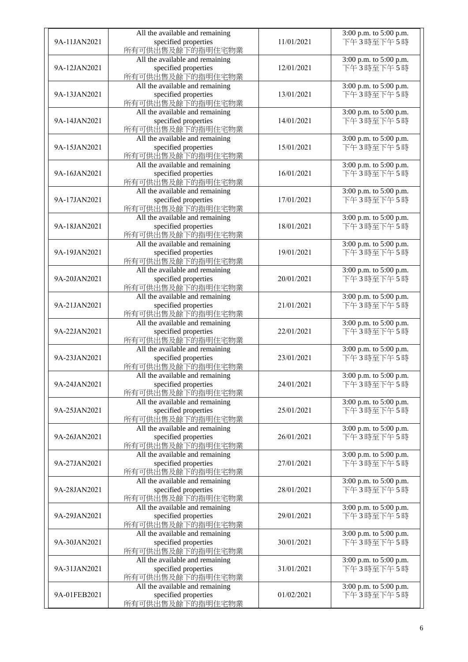| 9A-11JAN2021 | All the available and remaining<br>specified properties<br>所有可供出售及餘下的指明住宅物業 | 11/01/2021 | 3:00 p.m. to 5:00 p.m.<br>下午3時至下午5時     |
|--------------|-----------------------------------------------------------------------------|------------|-----------------------------------------|
| 9A-12JAN2021 | All the available and remaining<br>specified properties<br>所有可供出售及餘下的指明住宅物業 | 12/01/2021 | 3:00 p.m. to 5:00 p.m.<br>下午3時至下午5時     |
| 9A-13JAN2021 | All the available and remaining<br>specified properties<br>所有可供出售及餘下的指明住宅物業 | 13/01/2021 | 3:00 p.m. to 5:00 p.m.<br>下午3時至下午5時     |
| 9A-14JAN2021 | All the available and remaining<br>specified properties<br>所有可供出售及餘下的指明住宅物業 | 14/01/2021 | 3:00 p.m. to 5:00 p.m.<br>下午3時至下午5時     |
| 9A-15JAN2021 | All the available and remaining<br>specified properties<br>所有可供出售及餘下的指明住宅物業 | 15/01/2021 | 3:00 p.m. to 5:00 p.m.<br>下午3時至下午5時     |
| 9A-16JAN2021 | All the available and remaining<br>specified properties<br>所有可供出售及餘下的指明住宅物業 | 16/01/2021 | 3:00 p.m. to 5:00 p.m.<br>下午3時至下午5時     |
| 9A-17JAN2021 | All the available and remaining<br>specified properties<br>所有可供出售及餘下的指明住宅物業 | 17/01/2021 | 3:00 p.m. to 5:00 p.m.<br>下午3時至下午5時     |
| 9A-18JAN2021 | All the available and remaining<br>specified properties<br>所有可供出售及餘下的指明住宅物業 | 18/01/2021 | 3:00 p.m. to 5:00 p.m.<br>下午3時至下午5時     |
| 9A-19JAN2021 | All the available and remaining<br>specified properties<br>所有可供出售及餘下的指明住宅物業 | 19/01/2021 | 3:00 p.m. to 5:00 p.m.<br>下午3時至下午5時     |
| 9A-20JAN2021 | All the available and remaining<br>specified properties<br>所有可供出售及餘下的指明住宅物業 | 20/01/2021 | $3:00$ p.m. to $5:00$ p.m.<br>下午3時至下午5時 |
| 9A-21JAN2021 | All the available and remaining<br>specified properties<br>所有可供出售及餘下的指明住宅物業 | 21/01/2021 | 3:00 p.m. to 5:00 p.m.<br>下午3時至下午5時     |
| 9A-22JAN2021 | All the available and remaining<br>specified properties<br>所有可供出售及餘下的指明住宅物業 | 22/01/2021 | 3:00 p.m. to 5:00 p.m.<br>下午3時至下午5時     |
| 9A-23JAN2021 | All the available and remaining<br>specified properties<br>所有可供出售及餘下的指明住宅物業 | 23/01/2021 | 3:00 p.m. to 5:00 p.m.<br>下午3時至下午5時     |
| 9A-24JAN2021 | All the available and remaining<br>specified properties<br>所有可供出售及餘下的指明住宅物業 | 24/01/2021 | 3:00 p.m. to 5:00 p.m.<br>下午3時至下午5時     |
| 9A-25JAN2021 | All the available and remaining<br>specified properties<br>所有可供出售及餘下的指明住宅物業 | 25/01/2021 | 3:00 p.m. to 5:00 p.m.<br>下午3時至下午5時     |
| 9A-26JAN2021 | All the available and remaining<br>specified properties<br>所有可供出售及餘下的指明住宅物業 | 26/01/2021 | 3:00 p.m. to 5:00 p.m.<br>下午3時至下午5時     |
| 9A-27JAN2021 | All the available and remaining<br>specified properties<br>所有可供出售及餘下的指明住宅物業 | 27/01/2021 | 3:00 p.m. to 5:00 p.m.<br>下午3時至下午5時     |
| 9A-28JAN2021 | All the available and remaining<br>specified properties<br>所有可供出售及餘下的指明住宅物業 | 28/01/2021 | 3:00 p.m. to 5:00 p.m.<br>下午3時至下午5時     |
| 9A-29JAN2021 | All the available and remaining<br>specified properties<br>所有可供出售及餘下的指明住宅物業 | 29/01/2021 | 3:00 p.m. to 5:00 p.m.<br>下午3時至下午5時     |
| 9A-30JAN2021 | All the available and remaining<br>specified properties<br>所有可供出售及餘下的指明住宅物業 | 30/01/2021 | 3:00 p.m. to 5:00 p.m.<br>下午3時至下午5時     |
| 9A-31JAN2021 | All the available and remaining<br>specified properties<br>所有可供出售及餘下的指明住宅物業 | 31/01/2021 | 3:00 p.m. to 5:00 p.m.<br>下午3時至下午5時     |
| 9A-01FEB2021 | All the available and remaining<br>specified properties<br>所有可供出售及餘下的指明住宅物業 | 01/02/2021 | 3:00 p.m. to 5:00 p.m.<br>下午3時至下午5時     |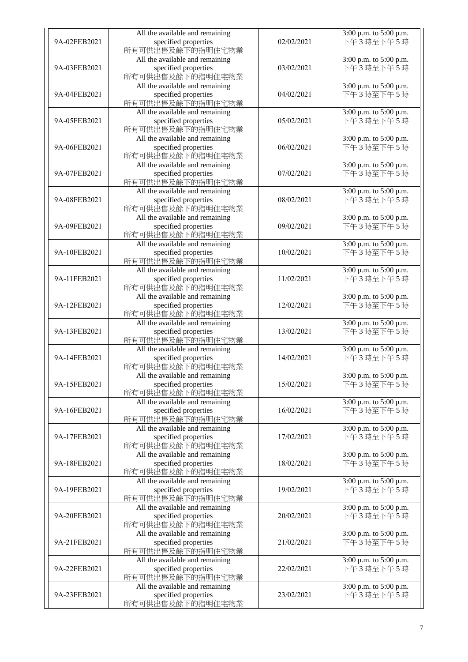| 9A-02FEB2021 | All the available and remaining<br>specified properties<br>所有可供出售及餘下的指明住宅物業 | 02/02/2021 | 3:00 p.m. to 5:00 p.m.<br>下午3時至下午5時 |
|--------------|-----------------------------------------------------------------------------|------------|-------------------------------------|
| 9A-03FEB2021 | All the available and remaining<br>specified properties<br>所有可供出售及餘下的指明住宅物業 | 03/02/2021 | 3:00 p.m. to 5:00 p.m.<br>下午3時至下午5時 |
| 9A-04FEB2021 | All the available and remaining<br>specified properties<br>所有可供出售及餘下的指明住宅物業 | 04/02/2021 | 3:00 p.m. to 5:00 p.m.<br>下午3時至下午5時 |
| 9A-05FEB2021 | All the available and remaining<br>specified properties<br>所有可供出售及餘下的指明住宅物業 | 05/02/2021 | 3:00 p.m. to 5:00 p.m.<br>下午3時至下午5時 |
| 9A-06FEB2021 | All the available and remaining<br>specified properties<br>所有可供出售及餘下的指明住宅物業 | 06/02/2021 | 3:00 p.m. to 5:00 p.m.<br>下午3時至下午5時 |
| 9A-07FEB2021 | All the available and remaining<br>specified properties<br>所有可供出售及餘下的指明住宅物業 | 07/02/2021 | 3:00 p.m. to 5:00 p.m.<br>下午3時至下午5時 |
| 9A-08FEB2021 | All the available and remaining<br>specified properties<br>所有可供出售及餘下的指明住宅物業 | 08/02/2021 | 3:00 p.m. to 5:00 p.m.<br>下午3時至下午5時 |
| 9A-09FEB2021 | All the available and remaining<br>specified properties<br>所有可供出售及餘下的指明住宅物業 | 09/02/2021 | 3:00 p.m. to 5:00 p.m.<br>下午3時至下午5時 |
| 9A-10FEB2021 | All the available and remaining<br>specified properties<br>所有可供出售及餘下的指明住宅物業 | 10/02/2021 | 3:00 p.m. to 5:00 p.m.<br>下午3時至下午5時 |
| 9A-11FEB2021 | All the available and remaining<br>specified properties<br>所有可供出售及餘下的指明住宅物業 | 11/02/2021 | 3:00 p.m. to 5:00 p.m.<br>下午3時至下午5時 |
| 9A-12FEB2021 | All the available and remaining<br>specified properties<br>所有可供出售及餘下的指明住宅物業 | 12/02/2021 | 3:00 p.m. to 5:00 p.m.<br>下午3時至下午5時 |
| 9A-13FEB2021 | All the available and remaining<br>specified properties<br>所有可供出售及餘下的指明住宅物業 | 13/02/2021 | 3:00 p.m. to 5:00 p.m.<br>下午3時至下午5時 |
| 9A-14FEB2021 | All the available and remaining<br>specified properties<br>所有可供出售及餘下的指明住宅物業 | 14/02/2021 | 3:00 p.m. to 5:00 p.m.<br>下午3時至下午5時 |
| 9A-15FEB2021 | All the available and remaining<br>specified properties<br>所有可供出售及餘下的指明住宅物業 | 15/02/2021 | 3:00 p.m. to 5:00 p.m.<br>下午3時至下午5時 |
| 9A-16FEB2021 | All the available and remaining<br>specified properties<br>所有可供出售及餘下的指明住宅物業 | 16/02/2021 | 3:00 p.m. to 5:00 p.m.<br>下午3時至下午5時 |
| 9A-17FEB2021 | All the available and remaining<br>specified properties<br>所有可供出售及餘下的指明住宅物業 | 17/02/2021 | 3:00 p.m. to 5:00 p.m.<br>下午3時至下午5時 |
| 9A-18FEB2021 | All the available and remaining<br>specified properties<br>所有可供出售及餘下的指明住宅物業 | 18/02/2021 | 3:00 p.m. to 5:00 p.m.<br>下午3時至下午5時 |
| 9A-19FEB2021 | All the available and remaining<br>specified properties<br>所有可供出售及餘下的指明住宅物業 | 19/02/2021 | 3:00 p.m. to 5:00 p.m.<br>下午3時至下午5時 |
| 9A-20FEB2021 | All the available and remaining<br>specified properties<br>所有可供出售及餘下的指明住宅物業 | 20/02/2021 | 3:00 p.m. to 5:00 p.m.<br>下午3時至下午5時 |
| 9A-21FEB2021 | All the available and remaining<br>specified properties<br>所有可供出售及餘下的指明住宅物業 | 21/02/2021 | 3:00 p.m. to 5:00 p.m.<br>下午3時至下午5時 |
| 9A-22FEB2021 | All the available and remaining<br>specified properties<br>所有可供出售及餘下的指明住宅物業 | 22/02/2021 | 3:00 p.m. to 5:00 p.m.<br>下午3時至下午5時 |
| 9A-23FEB2021 | All the available and remaining<br>specified properties<br>所有可供出售及餘下的指明住宅物業 | 23/02/2021 | 3:00 p.m. to 5:00 p.m.<br>下午3時至下午5時 |